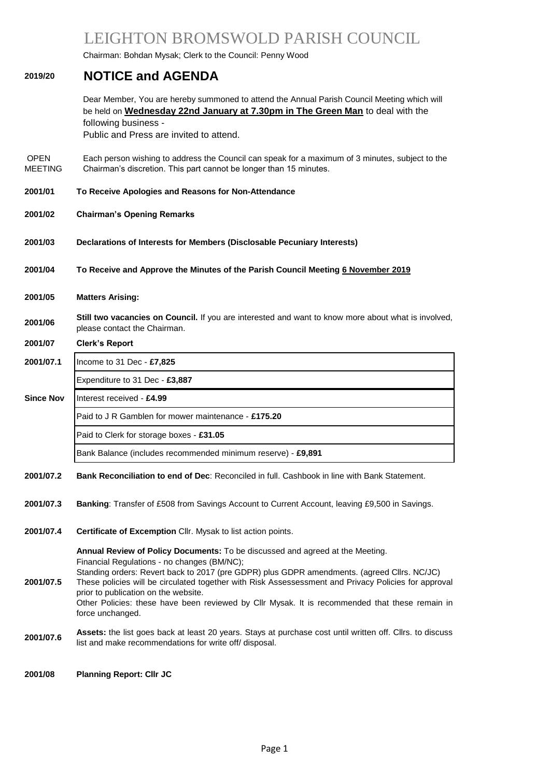# LEIGHTON BROMSWOLD PARISH COUNCIL

Chairman: Bohdan Mysak; Clerk to the Council: Penny Wood

### **2019/20 NOTICE and AGENDA**

Dear Member, You are hereby summoned to attend the Annual Parish Council Meeting which will be held on **Wednesday 22nd January at 7.30pm in The Green Man** to deal with the following business -

Public and Press are invited to attend.

- OPEN MEETING Each person wishing to address the Council can speak for a maximum of 3 minutes, subject to the Chairman's discretion. This part cannot be longer than 15 minutes.
- **2001/01 To Receive Apologies and Reasons for Non-Attendance**
- **2001/02 Chairman's Opening Remarks**
- **2001/03 Declarations of Interests for Members (Disclosable Pecuniary Interests)**
- **2001/04 To Receive and Approve the Minutes of the Parish Council Meeting 6 November 2019**
- **2001/05 Matters Arising:**

**2001/06 Still two vacancies on Council.** If you are interested and want to know more about what is involved, please contact the Chairman.

## **2001/07 Clerk's Report**

### **2001/07.1** Income to 31 Dec - **£7,825**

Expenditure to 31 Dec - **£3,887**

### **Since Nov** | Interest received - £4.99

Paid to J R Gamblen for mower maintenance - **£175.20**

#### Paid to Clerk for storage boxes - **£31.05**

Bank Balance (includes recommended minimum reserve) - **£9,891**

- **2001/07.2 Bank Reconciliation to end of Dec**: Reconciled in full. Cashbook in line with Bank Statement.
- **2001/07.3 Banking**: Transfer of £508 from Savings Account to Current Account, leaving £9,500 in Savings.
- **2001/07.4 Certificate of Excemption** Cllr. Mysak to list action points.

**2001/07.5 Annual Review of Policy Documents:** To be discussed and agreed at the Meeting. Financial Regulations - no changes (BM/NC); Standing orders: Revert back to 2017 (pre GDPR) plus GDPR amendments. (agreed Cllrs. NC/JC) These policies will be circulated together with Risk Assessessment and Privacy Policies for approval prior to publication on the website. Other Policies: these have been reviewed by Cllr Mysak. It is recommended that these remain in force unchanged.

**2001/07.6 Assets:** the list goes back at least <sup>20</sup> years. Stays at purchase cost until written off. Cllrs. to discuss list and make recommendations for write off/ disposal.

#### **2001/08 Planning Report: Cllr JC**